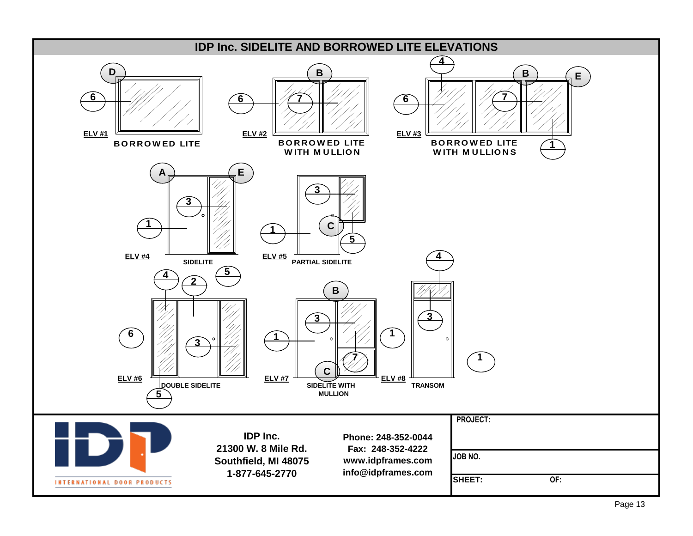